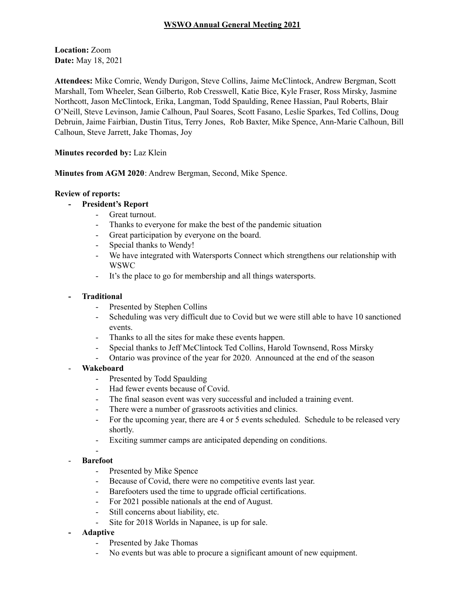## **WSWO Annual General Meeting 2021**

**Location:** Zoom **Date:** May 18, 2021

**Attendees:** Mike Comrie, Wendy Durigon, Steve Collins, Jaime McClintock, Andrew Bergman, Scott Marshall, Tom Wheeler, Sean Gilberto, Rob Cresswell, Katie Bice, Kyle Fraser, Ross Mirsky, Jasmine Northcott, Jason McClintock, Erika, Langman, Todd Spaulding, Renee Hassian, Paul Roberts, Blair O'Neill, Steve Levinson, Jamie Calhoun, Paul Soares, Scott Fasano, Leslie Sparkes, Ted Collins, Doug Debruin, Jaime Fairbian, Dustin Titus, Terry Jones, Rob Baxter, Mike Spence, Ann-Marie Calhoun, Bill Calhoun, Steve Jarrett, Jake Thomas, Joy

**Minutes recorded by:** Laz Klein

**Minutes from AGM 2020**: Andrew Bergman, Second, Mike Spence.

### **Review of reports:**

- **- President's Report**
	- Great turnout.
		- Thanks to everyone for make the best of the pandemic situation
	- Great participation by everyone on the board.
	- Special thanks to Wendy!
	- We have integrated with Watersports Connect which strengthens our relationship with WSWC
	- It's the place to go for membership and all things watersports.

### **- Traditional**

- Presented by Stephen Collins
- Scheduling was very difficult due to Covid but we were still able to have 10 sanctioned events.
- Thanks to all the sites for make these events happen.
- Special thanks to Jeff McClintock Ted Collins, Harold Townsend, Ross Mirsky
- Ontario was province of the year for 2020. Announced at the end of the season

### - **Wakeboard**

- Presented by Todd Spaulding
- Had fewer events because of Covid.
- The final season event was very successful and included a training event.
- There were a number of grassroots activities and clinics.
- For the upcoming year, there are 4 or 5 events scheduled. Schedule to be released very shortly.
- Exciting summer camps are anticipated depending on conditions.

### - **Barefoot**

-

- Presented by Mike Spence
- Because of Covid, there were no competitive events last year.
- Barefooters used the time to upgrade official certifications.
- For 2021 possible nationals at the end of August.
- Still concerns about liability, etc.
- Site for 2018 Worlds in Napanee, is up for sale.
- **- Adaptive**
	- Presented by Jake Thomas
	- No events but was able to procure a significant amount of new equipment.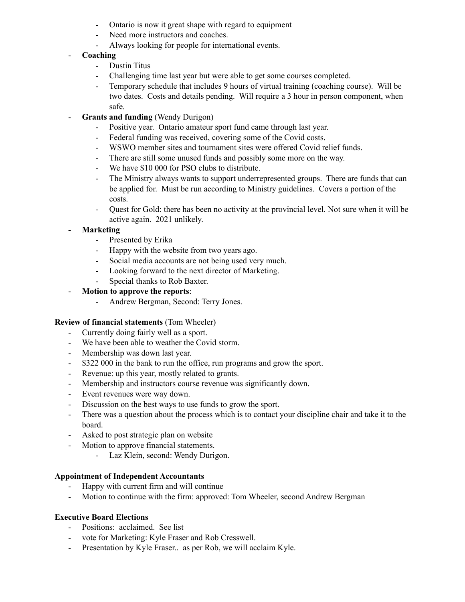- Ontario is now it great shape with regard to equipment
- Need more instructors and coaches.
- Always looking for people for international events.

## - **Coaching**

- Dustin Titus
- Challenging time last year but were able to get some courses completed.
- Temporary schedule that includes 9 hours of virtual training (coaching course). Will be two dates. Costs and details pending. Will require a 3 hour in person component, when safe.
- **Grants and funding** (Wendy Durigon)
	- Positive year. Ontario amateur sport fund came through last year.
	- Federal funding was received, covering some of the Covid costs.
	- WSWO member sites and tournament sites were offered Covid relief funds.
	- There are still some unused funds and possibly some more on the way.
	- We have \$10 000 for PSO clubs to distribute.
	- The Ministry always wants to support underrepresented groups. There are funds that can be applied for. Must be run according to Ministry guidelines. Covers a portion of the costs.
	- Quest for Gold: there has been no activity at the provincial level. Not sure when it will be active again. 2021 unlikely.

# **- Marketing**

- Presented by Erika
- Happy with the website from two years ago.
- Social media accounts are not being used very much.
- Looking forward to the next director of Marketing.
- Special thanks to Rob Baxter.

# - **Motion to approve the reports**:

- Andrew Bergman, Second: Terry Jones.

## **Review of financial statements** (Tom Wheeler)

- Currently doing fairly well as a sport.
- We have been able to weather the Covid storm.
- Membership was down last year.
- \$322 000 in the bank to run the office, run programs and grow the sport.
- Revenue: up this year, mostly related to grants.
- Membership and instructors course revenue was significantly down.
- Event revenues were way down.
- Discussion on the best ways to use funds to grow the sport.
- There was a question about the process which is to contact your discipline chair and take it to the board.
- Asked to post strategic plan on website
- Motion to approve financial statements.
	- Laz Klein, second: Wendy Durigon.

## **Appointment of Independent Accountants**

- Happy with current firm and will continue
- Motion to continue with the firm: approved: Tom Wheeler, second Andrew Bergman

## **Executive Board Elections**

- Positions: acclaimed. See list
- vote for Marketing: Kyle Fraser and Rob Cresswell.
- Presentation by Kyle Fraser.. as per Rob, we will acclaim Kyle.